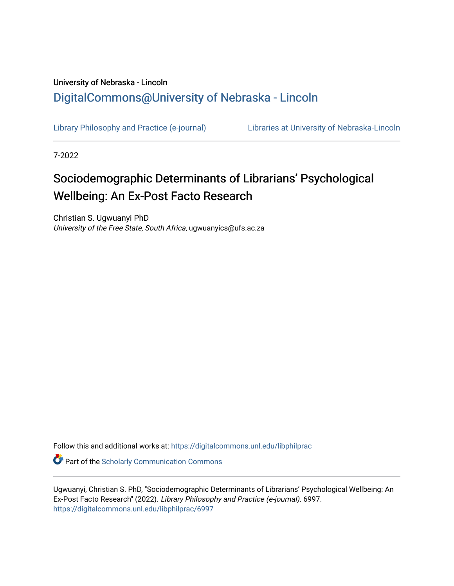# University of Nebraska - Lincoln [DigitalCommons@University of Nebraska - Lincoln](https://digitalcommons.unl.edu/)

[Library Philosophy and Practice \(e-journal\)](https://digitalcommons.unl.edu/libphilprac) [Libraries at University of Nebraska-Lincoln](https://digitalcommons.unl.edu/libraries) 

7-2022

# Sociodemographic Determinants of Librarians' Psychological Wellbeing: An Ex-Post Facto Research

Christian S. Ugwuanyi PhD University of the Free State, South Africa, ugwuanyics@ufs.ac.za

Follow this and additional works at: [https://digitalcommons.unl.edu/libphilprac](https://digitalcommons.unl.edu/libphilprac?utm_source=digitalcommons.unl.edu%2Flibphilprac%2F6997&utm_medium=PDF&utm_campaign=PDFCoverPages) 

**C** Part of the Scholarly Communication Commons

Ugwuanyi, Christian S. PhD, "Sociodemographic Determinants of Librarians' Psychological Wellbeing: An Ex-Post Facto Research" (2022). Library Philosophy and Practice (e-journal). 6997. [https://digitalcommons.unl.edu/libphilprac/6997](https://digitalcommons.unl.edu/libphilprac/6997?utm_source=digitalcommons.unl.edu%2Flibphilprac%2F6997&utm_medium=PDF&utm_campaign=PDFCoverPages)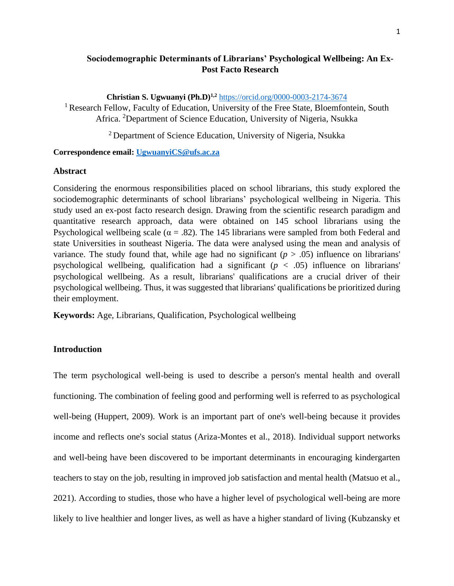# **Sociodemographic Determinants of Librarians' Psychological Wellbeing: An Ex-Post Facto Research**

**Christian S. Ugwuanyi (Ph.D)1,2** <https://orcid.org/0000-0003-2174-3674> <sup>1</sup> Research Fellow, Faculty of Education, University of the Free State, Bloemfontein, South Africa. <sup>2</sup>Department of Science Education, University of Nigeria, Nsukka

<sup>2</sup> Department of Science Education, University of Nigeria, Nsukka

#### **Correspondence email: [UgwuanyiCS@ufs.ac.za](mailto:UgwuanyiCS@ufs.ac.za)**

#### **Abstract**

Considering the enormous responsibilities placed on school librarians, this study explored the sociodemographic determinants of school librarians' psychological wellbeing in Nigeria. This study used an ex-post facto research design. Drawing from the scientific research paradigm and quantitative research approach, data were obtained on 145 school librarians using the Psychological wellbeing scale ( $\alpha = .82$ ). The 145 librarians were sampled from both Federal and state Universities in southeast Nigeria. The data were analysed using the mean and analysis of variance. The study found that, while age had no significant  $(p > .05)$  influence on librarians' psychological wellbeing, qualification had a significant  $(p < .05)$  influence on librarians' psychological wellbeing. As a result, librarians' qualifications are a crucial driver of their psychological wellbeing. Thus, it was suggested that librarians' qualifications be prioritized during their employment.

**Keywords:** Age, Librarians, Qualification, Psychological wellbeing

### **Introduction**

The term psychological well-being is used to describe a person's mental health and overall functioning. The combination of feeling good and performing well is referred to as psychological well-being (Huppert, 2009). Work is an important part of one's well-being because it provides income and reflects one's social status (Ariza-Montes et al., 2018). Individual support networks and well-being have been discovered to be important determinants in encouraging kindergarten teachers to stay on the job, resulting in improved job satisfaction and mental health (Matsuo et al., 2021). According to studies, those who have a higher level of psychological well-being are more likely to live healthier and longer lives, as well as have a higher standard of living (Kubzansky et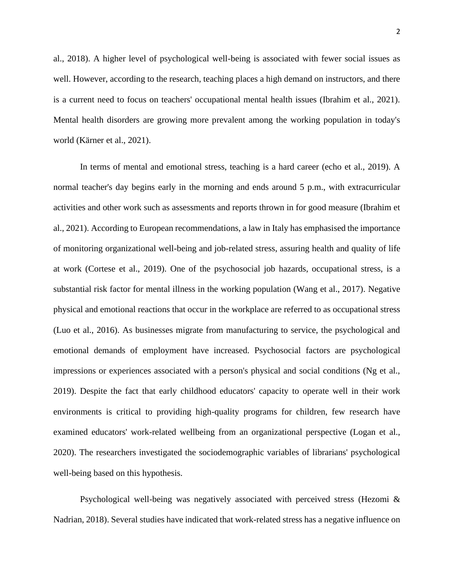al., 2018). A higher level of psychological well-being is associated with fewer social issues as well. However, according to the research, teaching places a high demand on instructors, and there is a current need to focus on teachers' occupational mental health issues (Ibrahim et al., 2021). Mental health disorders are growing more prevalent among the working population in today's world (Kärner et al., 2021).

In terms of mental and emotional stress, teaching is a hard career (echo et al., 2019). A normal teacher's day begins early in the morning and ends around 5 p.m., with extracurricular activities and other work such as assessments and reports thrown in for good measure (Ibrahim et al., 2021). According to European recommendations, a law in Italy has emphasised the importance of monitoring organizational well-being and job-related stress, assuring health and quality of life at work (Cortese et al., 2019). One of the psychosocial job hazards, occupational stress, is a substantial risk factor for mental illness in the working population (Wang et al., 2017). Negative physical and emotional reactions that occur in the workplace are referred to as occupational stress (Luo et al., 2016). As businesses migrate from manufacturing to service, the psychological and emotional demands of employment have increased. Psychosocial factors are psychological impressions or experiences associated with a person's physical and social conditions (Ng et al., 2019). Despite the fact that early childhood educators' capacity to operate well in their work environments is critical to providing high-quality programs for children, few research have examined educators' work-related wellbeing from an organizational perspective (Logan et al., 2020). The researchers investigated the sociodemographic variables of librarians' psychological well-being based on this hypothesis.

Psychological well-being was negatively associated with perceived stress (Hezomi & Nadrian, 2018). Several studies have indicated that work-related stress has a negative influence on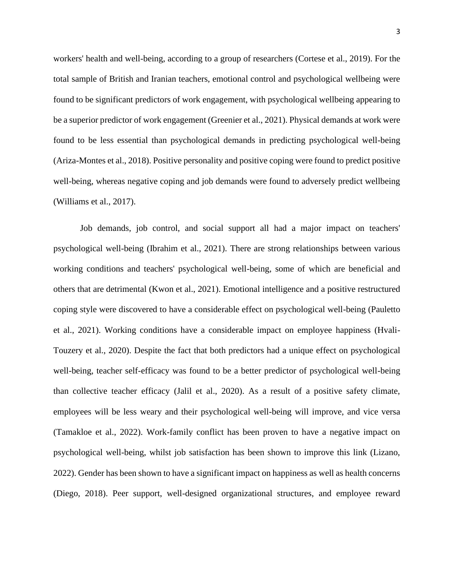workers' health and well-being, according to a group of researchers (Cortese et al., 2019). For the total sample of British and Iranian teachers, emotional control and psychological wellbeing were found to be significant predictors of work engagement, with psychological wellbeing appearing to be a superior predictor of work engagement (Greenier et al., 2021). Physical demands at work were found to be less essential than psychological demands in predicting psychological well-being (Ariza-Montes et al., 2018). Positive personality and positive coping were found to predict positive well-being, whereas negative coping and job demands were found to adversely predict wellbeing (Williams et al., 2017).

Job demands, job control, and social support all had a major impact on teachers' psychological well-being (Ibrahim et al., 2021). There are strong relationships between various working conditions and teachers' psychological well-being, some of which are beneficial and others that are detrimental (Kwon et al., 2021). Emotional intelligence and a positive restructured coping style were discovered to have a considerable effect on psychological well-being (Pauletto et al., 2021). Working conditions have a considerable impact on employee happiness (Hvali-Touzery et al., 2020). Despite the fact that both predictors had a unique effect on psychological well-being, teacher self-efficacy was found to be a better predictor of psychological well-being than collective teacher efficacy (Jalil et al., 2020). As a result of a positive safety climate, employees will be less weary and their psychological well-being will improve, and vice versa (Tamakloe et al., 2022). Work-family conflict has been proven to have a negative impact on psychological well-being, whilst job satisfaction has been shown to improve this link (Lizano, 2022). Gender has been shown to have a significant impact on happiness as well as health concerns (Diego, 2018). Peer support, well-designed organizational structures, and employee reward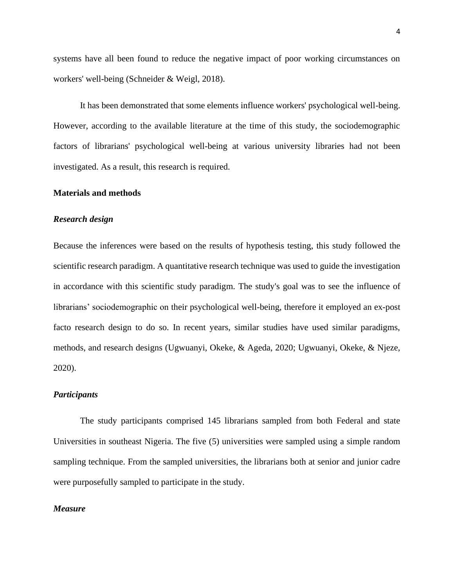systems have all been found to reduce the negative impact of poor working circumstances on workers' well-being (Schneider & Weigl, 2018).

It has been demonstrated that some elements influence workers' psychological well-being. However, according to the available literature at the time of this study, the sociodemographic factors of librarians' psychological well-being at various university libraries had not been investigated. As a result, this research is required.

#### **Materials and methods**

#### *Research design*

Because the inferences were based on the results of hypothesis testing, this study followed the scientific research paradigm. A quantitative research technique was used to guide the investigation in accordance with this scientific study paradigm. The study's goal was to see the influence of librarians' sociodemographic on their psychological well-being, therefore it employed an ex-post facto research design to do so. In recent years, similar studies have used similar paradigms, methods, and research designs (Ugwuanyi, Okeke, & Ageda, 2020; Ugwuanyi, Okeke, & Njeze, 2020).

#### *Participants*

The study participants comprised 145 librarians sampled from both Federal and state Universities in southeast Nigeria. The five (5) universities were sampled using a simple random sampling technique. From the sampled universities, the librarians both at senior and junior cadre were purposefully sampled to participate in the study.

#### *Measure*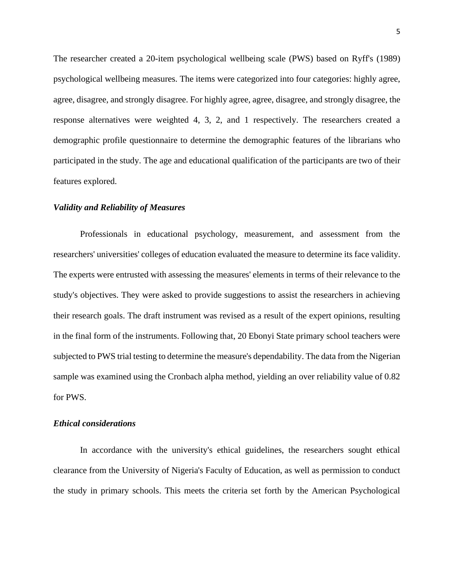The researcher created a 20-item psychological wellbeing scale (PWS) based on Ryff's (1989) psychological wellbeing measures. The items were categorized into four categories: highly agree, agree, disagree, and strongly disagree. For highly agree, agree, disagree, and strongly disagree, the response alternatives were weighted 4, 3, 2, and 1 respectively. The researchers created a demographic profile questionnaire to determine the demographic features of the librarians who participated in the study. The age and educational qualification of the participants are two of their features explored.

#### *Validity and Reliability of Measures*

Professionals in educational psychology, measurement, and assessment from the researchers' universities' colleges of education evaluated the measure to determine its face validity. The experts were entrusted with assessing the measures' elements in terms of their relevance to the study's objectives. They were asked to provide suggestions to assist the researchers in achieving their research goals. The draft instrument was revised as a result of the expert opinions, resulting in the final form of the instruments. Following that, 20 Ebonyi State primary school teachers were subjected to PWS trial testing to determine the measure's dependability. The data from the Nigerian sample was examined using the Cronbach alpha method, yielding an over reliability value of 0.82 for PWS.

#### *Ethical considerations*

In accordance with the university's ethical guidelines, the researchers sought ethical clearance from the University of Nigeria's Faculty of Education, as well as permission to conduct the study in primary schools. This meets the criteria set forth by the American Psychological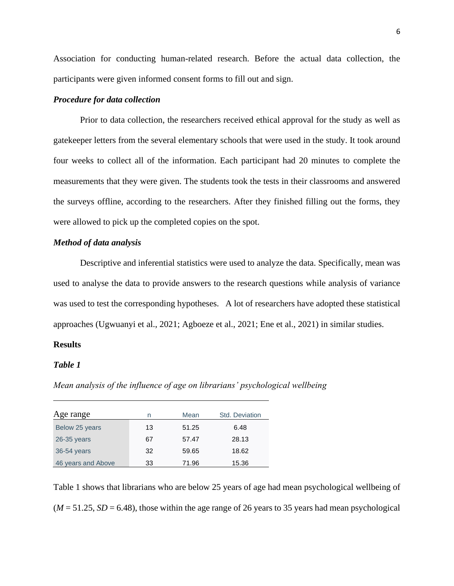Association for conducting human-related research. Before the actual data collection, the participants were given informed consent forms to fill out and sign.

#### *Procedure for data collection*

Prior to data collection, the researchers received ethical approval for the study as well as gatekeeper letters from the several elementary schools that were used in the study. It took around four weeks to collect all of the information. Each participant had 20 minutes to complete the measurements that they were given. The students took the tests in their classrooms and answered the surveys offline, according to the researchers. After they finished filling out the forms, they were allowed to pick up the completed copies on the spot.

#### *Method of data analysis*

Descriptive and inferential statistics were used to analyze the data. Specifically, mean was used to analyse the data to provide answers to the research questions while analysis of variance was used to test the corresponding hypotheses. A lot of researchers have adopted these statistical approaches (Ugwuanyi et al., 2021; Agboeze et al., 2021; Ene et al., 2021) in similar studies.

#### **Results**

#### *Table 1*

*Mean analysis of the influence of age on librarians' psychological wellbeing*

| Age range          | n  | Mean  | Std. Deviation |
|--------------------|----|-------|----------------|
| Below 25 years     | 13 | 51.25 | 6.48           |
| $26-35$ years      | 67 | 57.47 | 28.13          |
| 36-54 years        | 32 | 59.65 | 18.62          |
| 46 years and Above | 33 | 71.96 | 15.36          |

Table 1 shows that librarians who are below 25 years of age had mean psychological wellbeing of  $(M = 51.25, SD = 6.48)$ , those within the age range of 26 years to 35 years had mean psychological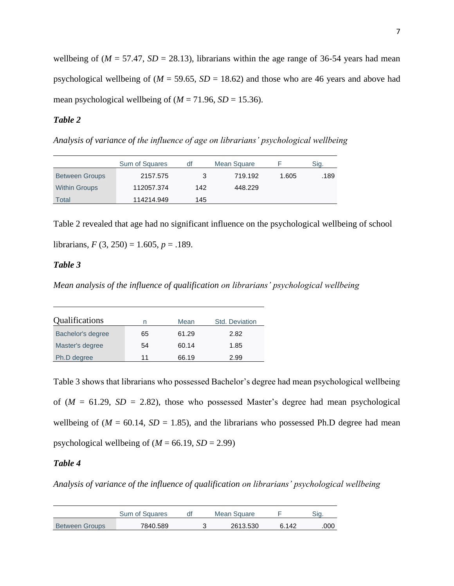wellbeing of ( $M = 57.47$ ,  $SD = 28.13$ ), librarians within the age range of 36-54 years had mean psychological wellbeing of  $(M = 59.65, SD = 18.62)$  and those who are 46 years and above had mean psychological wellbeing of  $(M = 71.96, SD = 15.36)$ .

# *Table 2*

*Analysis of variance of the influence of age on librarians' psychological wellbeing*

|                       | Sum of Squares | df  | Mean Square |       | Sig. |
|-----------------------|----------------|-----|-------------|-------|------|
| <b>Between Groups</b> | 2157.575       | 3   | 719.192     | 1.605 | .189 |
| <b>Within Groups</b>  | 112057.374     | 142 | 448.229     |       |      |
| Total                 | 114214.949     | 145 |             |       |      |

Table 2 revealed that age had no significant influence on the psychological wellbeing of school

librarians,  $F(3, 250) = 1.605$ ,  $p = .189$ .

## *Table 3*

*Mean analysis of the influence of qualification on librarians' psychological wellbeing*

| Qualifications    | Mean<br>n |       | Std. Deviation |
|-------------------|-----------|-------|----------------|
| Bachelor's degree | 65        | 61.29 | 2.82           |
| Master's degree   | 54        | 60.14 | 1.85           |
| Ph.D degree       | 11        | 66.19 | 2.99           |

Table 3 shows that librarians who possessed Bachelor's degree had mean psychological wellbeing of  $(M = 61.29, SD = 2.82)$ , those who possessed Master's degree had mean psychological wellbeing of ( $M = 60.14$ ,  $SD = 1.85$ ), and the librarians who possessed Ph.D degree had mean psychological wellbeing of  $(M = 66.19, SD = 2.99)$ 

# *Table 4*

*Analysis of variance of the influence of qualification on librarians' psychological wellbeing*

|                       | Sum of Squares |  | Mean Square |       |      |
|-----------------------|----------------|--|-------------|-------|------|
| <b>Between Groups</b> | 7840.589       |  | 2613.530    | 6.142 | .000 |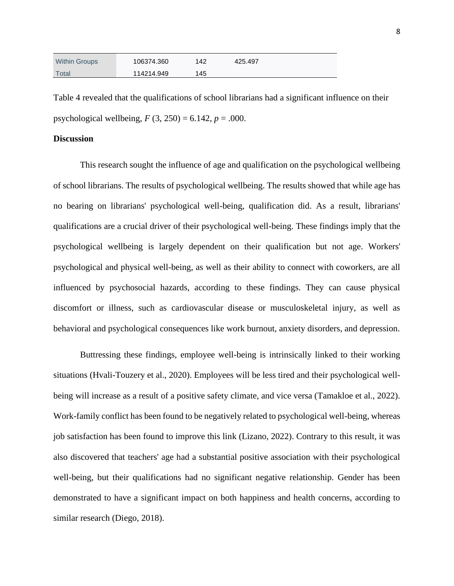| <b>Within Groups</b> | 106374.360 | 142 | 425.497 |  |
|----------------------|------------|-----|---------|--|
| Total                | 114214.949 | 145 |         |  |

Table 4 revealed that the qualifications of school librarians had a significant influence on their psychological wellbeing,  $F(3, 250) = 6.142$ ,  $p = .000$ .

#### **Discussion**

This research sought the influence of age and qualification on the psychological wellbeing of school librarians. The results of psychological wellbeing. The results showed that while age has no bearing on librarians' psychological well-being, qualification did. As a result, librarians' qualifications are a crucial driver of their psychological well-being. These findings imply that the psychological wellbeing is largely dependent on their qualification but not age. Workers' psychological and physical well-being, as well as their ability to connect with coworkers, are all influenced by psychosocial hazards, according to these findings. They can cause physical discomfort or illness, such as cardiovascular disease or musculoskeletal injury, as well as behavioral and psychological consequences like work burnout, anxiety disorders, and depression.

Buttressing these findings, employee well-being is intrinsically linked to their working situations (Hvali-Touzery et al., 2020). Employees will be less tired and their psychological wellbeing will increase as a result of a positive safety climate, and vice versa (Tamakloe et al., 2022). Work-family conflict has been found to be negatively related to psychological well-being, whereas job satisfaction has been found to improve this link (Lizano, 2022). Contrary to this result, it was also discovered that teachers' age had a substantial positive association with their psychological well-being, but their qualifications had no significant negative relationship. Gender has been demonstrated to have a significant impact on both happiness and health concerns, according to similar research (Diego, 2018).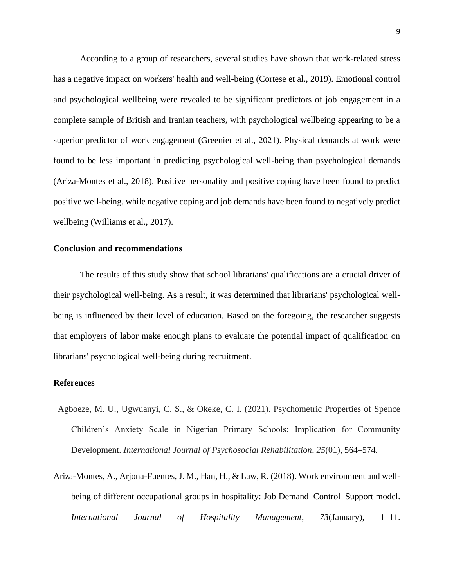According to a group of researchers, several studies have shown that work-related stress has a negative impact on workers' health and well-being (Cortese et al., 2019). Emotional control and psychological wellbeing were revealed to be significant predictors of job engagement in a complete sample of British and Iranian teachers, with psychological wellbeing appearing to be a superior predictor of work engagement (Greenier et al., 2021). Physical demands at work were found to be less important in predicting psychological well-being than psychological demands (Ariza-Montes et al., 2018). Positive personality and positive coping have been found to predict positive well-being, while negative coping and job demands have been found to negatively predict wellbeing (Williams et al., 2017).

#### **Conclusion and recommendations**

The results of this study show that school librarians' qualifications are a crucial driver of their psychological well-being. As a result, it was determined that librarians' psychological wellbeing is influenced by their level of education. Based on the foregoing, the researcher suggests that employers of labor make enough plans to evaluate the potential impact of qualification on librarians' psychological well-being during recruitment.

#### **References**

- Agboeze, M. U., Ugwuanyi, C. S., & Okeke, C. I. (2021). Psychometric Properties of Spence Children's Anxiety Scale in Nigerian Primary Schools: Implication for Community Development. *International Journal of Psychosocial Rehabilitation*, *25*(01), 564–574.
- Ariza-Montes, A., Arjona-Fuentes, J. M., Han, H., & Law, R. (2018). Work environment and wellbeing of different occupational groups in hospitality: Job Demand–Control–Support model. *International Journal of Hospitality Management*, *73*(January), 1–11.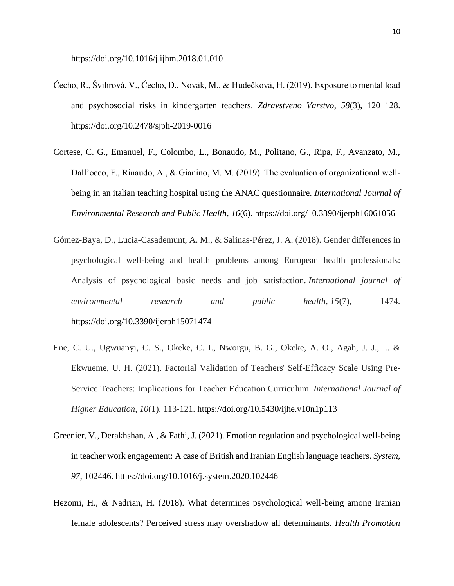https://doi.org/10.1016/j.ijhm.2018.01.010

- Čecho, R., Švihrová, V., Čecho, D., Novák, M., & Hudečková, H. (2019). Exposure to mental load and psychosocial risks in kindergarten teachers. *Zdravstveno Varstvo*, *58*(3), 120–128. https://doi.org/10.2478/sjph-2019-0016
- Cortese, C. G., Emanuel, F., Colombo, L., Bonaudo, M., Politano, G., Ripa, F., Avanzato, M., Dall'occo, F., Rinaudo, A., & Gianino, M. M. (2019). The evaluation of organizational wellbeing in an italian teaching hospital using the ANAC questionnaire. *International Journal of Environmental Research and Public Health*, *16*(6). https://doi.org/10.3390/ijerph16061056
- Gómez-Baya, D., Lucia-Casademunt, A. M., & Salinas-Pérez, J. A. (2018). Gender differences in psychological well-being and health problems among European health professionals: Analysis of psychological basic needs and job satisfaction. *International journal of environmental research and public health*, *15*(7), 1474. https://doi.org/10.3390/ijerph15071474
- Ene, C. U., Ugwuanyi, C. S., Okeke, C. I., Nworgu, B. G., Okeke, A. O., Agah, J. J., ... & Ekwueme, U. H. (2021). Factorial Validation of Teachers' Self-Efficacy Scale Using Pre-Service Teachers: Implications for Teacher Education Curriculum. *International Journal of Higher Education*, *10*(1), 113-121. https://doi.org/10.5430/ijhe.v10n1p113
- Greenier, V., Derakhshan, A., & Fathi, J. (2021). Emotion regulation and psychological well-being in teacher work engagement: A case of British and Iranian English language teachers. *System*, *97*, 102446. https://doi.org/10.1016/j.system.2020.102446
- Hezomi, H., & Nadrian, H. (2018). What determines psychological well-being among Iranian female adolescents? Perceived stress may overshadow all determinants. *Health Promotion*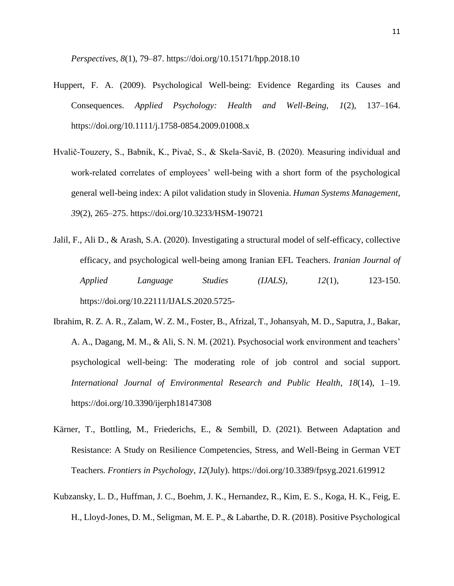*Perspectives*, *8*(1), 79–87. https://doi.org/10.15171/hpp.2018.10

- Huppert, F. A. (2009). Psychological Well-being: Evidence Regarding its Causes and Consequences. *Applied Psychology: Health and Well-Being*, *1*(2), 137–164. https://doi.org/10.1111/j.1758-0854.2009.01008.x
- Hvalič-Touzery, S., Babnik, K., Pivač, S., & Skela-Savič, B. (2020). Measuring individual and work-related correlates of employees' well-being with a short form of the psychological general well-being index: A pilot validation study in Slovenia. *Human Systems Management*, *39*(2), 265–275. https://doi.org/10.3233/HSM-190721
- Jalil, F., Ali D., & Arash, S.A. (2020). Investigating a structural model of self-efficacy, collective efficacy, and psychological well-being among Iranian EFL Teachers. *Iranian Journal of Applied Language Studies (IJALS), 12*(1), 123-150. https://doi.org/10.22111/IJALS.2020.5725-
- Ibrahim, R. Z. A. R., Zalam, W. Z. M., Foster, B., Afrizal, T., Johansyah, M. D., Saputra, J., Bakar, A. A., Dagang, M. M., & Ali, S. N. M. (2021). Psychosocial work environment and teachers' psychological well-being: The moderating role of job control and social support. *International Journal of Environmental Research and Public Health*, *18*(14), 1–19. https://doi.org/10.3390/ijerph18147308
- Kärner, T., Bottling, M., Friederichs, E., & Sembill, D. (2021). Between Adaptation and Resistance: A Study on Resilience Competencies, Stress, and Well-Being in German VET Teachers. *Frontiers in Psychology*, *12*(July). https://doi.org/10.3389/fpsyg.2021.619912
- Kubzansky, L. D., Huffman, J. C., Boehm, J. K., Hernandez, R., Kim, E. S., Koga, H. K., Feig, E. H., Lloyd-Jones, D. M., Seligman, M. E. P., & Labarthe, D. R. (2018). Positive Psychological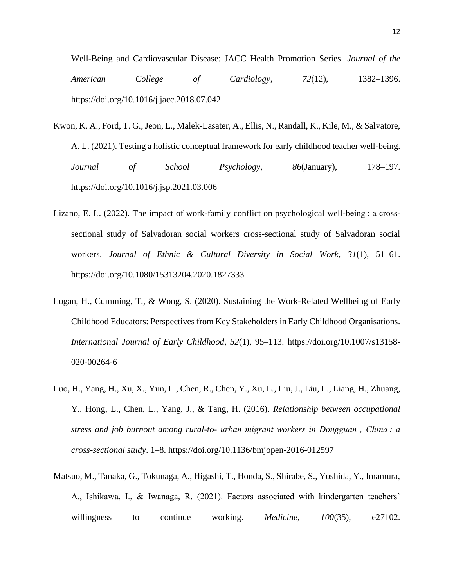Well-Being and Cardiovascular Disease: JACC Health Promotion Series. *Journal of the American College of Cardiology*, *72*(12), 1382–1396. https://doi.org/10.1016/j.jacc.2018.07.042

- Kwon, K. A., Ford, T. G., Jeon, L., Malek-Lasater, A., Ellis, N., Randall, K., Kile, M., & Salvatore, A. L. (2021). Testing a holistic conceptual framework for early childhood teacher well-being. *Journal of School Psychology*, *86*(January), 178–197. https://doi.org/10.1016/j.jsp.2021.03.006
- Lizano, E. L. (2022). The impact of work-family conflict on psychological well-being : a crosssectional study of Salvadoran social workers cross-sectional study of Salvadoran social workers. *Journal of Ethnic & Cultural Diversity in Social Work*, *31*(1), 51–61. https://doi.org/10.1080/15313204.2020.1827333
- Logan, H., Cumming, T., & Wong, S. (2020). Sustaining the Work-Related Wellbeing of Early Childhood Educators: Perspectives from Key Stakeholders in Early Childhood Organisations. *International Journal of Early Childhood*, *52*(1), 95–113. https://doi.org/10.1007/s13158- 020-00264-6
- Luo, H., Yang, H., Xu, X., Yun, L., Chen, R., Chen, Y., Xu, L., Liu, J., Liu, L., Liang, H., Zhuang, Y., Hong, L., Chen, L., Yang, J., & Tang, H. (2016). *Relationship between occupational stress and job burnout among rural-to- urban migrant workers in Dongguan , China : a cross-sectional study*. 1–8. https://doi.org/10.1136/bmjopen-2016-012597
- Matsuo, M., Tanaka, G., Tokunaga, A., Higashi, T., Honda, S., Shirabe, S., Yoshida, Y., Imamura, A., Ishikawa, I., & Iwanaga, R. (2021). Factors associated with kindergarten teachers' willingness to continue working. *Medicine*, *100*(35), e27102.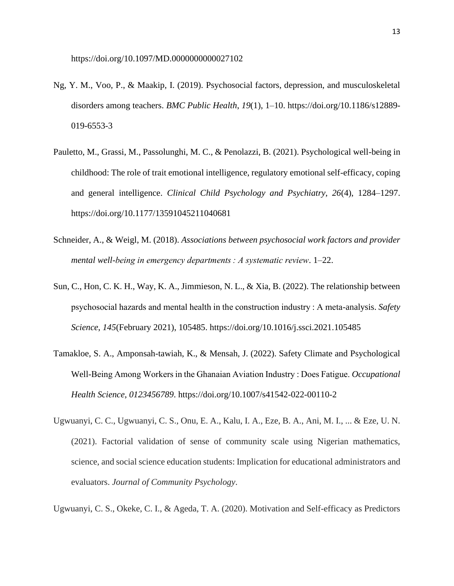- Ng, Y. M., Voo, P., & Maakip, I. (2019). Psychosocial factors, depression, and musculoskeletal disorders among teachers. *BMC Public Health*, *19*(1), 1–10. https://doi.org/10.1186/s12889- 019-6553-3
- Pauletto, M., Grassi, M., Passolunghi, M. C., & Penolazzi, B. (2021). Psychological well-being in childhood: The role of trait emotional intelligence, regulatory emotional self-efficacy, coping and general intelligence. *Clinical Child Psychology and Psychiatry*, *26*(4), 1284–1297. https://doi.org/10.1177/13591045211040681
- Schneider, A., & Weigl, M. (2018). *Associations between psychosocial work factors and provider mental well-being in emergency departments : A systematic review*. 1–22.
- Sun, C., Hon, C. K. H., Way, K. A., Jimmieson, N. L., & Xia, B. (2022). The relationship between psychosocial hazards and mental health in the construction industry : A meta-analysis. *Safety Science*, *145*(February 2021), 105485. https://doi.org/10.1016/j.ssci.2021.105485
- Tamakloe, S. A., Amponsah-tawiah, K., & Mensah, J. (2022). Safety Climate and Psychological Well-Being Among Workers in the Ghanaian Aviation Industry : Does Fatigue. *Occupational Health Science*, *0123456789*. https://doi.org/10.1007/s41542-022-00110-2
- Ugwuanyi, C. C., Ugwuanyi, C. S., Onu, E. A., Kalu, I. A., Eze, B. A., Ani, M. I., ... & Eze, U. N. (2021). Factorial validation of sense of community scale using Nigerian mathematics, science, and social science education students: Implication for educational administrators and evaluators. *Journal of Community Psychology*.
- Ugwuanyi, C. S., Okeke, C. I., & Ageda, T. A. (2020). Motivation and Self-efficacy as Predictors